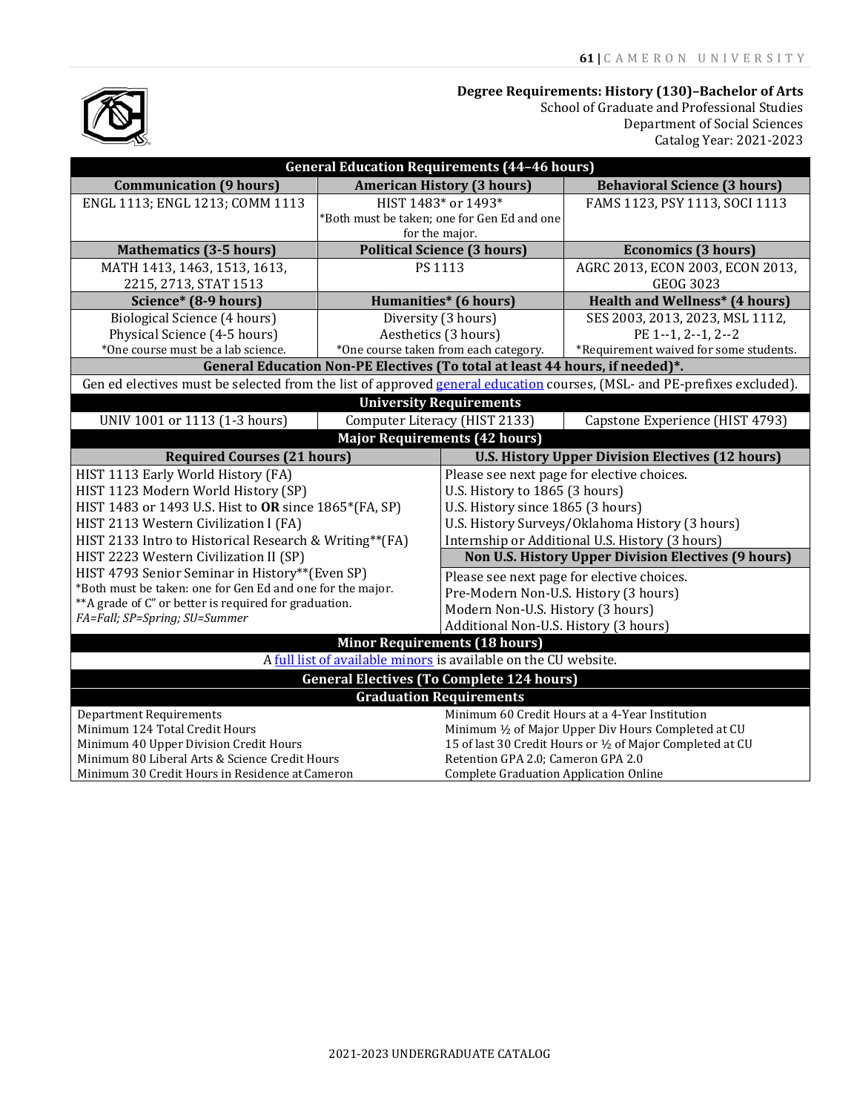#### **Degree Requirements: History (130)–Bachelor of Arts**

School of Graduate and Professional Studies Department of Social Sciences Catalog Year: 2021-2023

| <b>General Education Requirements (44-46 hours)</b>                                                                     |                                             |                                                            |                                        |
|-------------------------------------------------------------------------------------------------------------------------|---------------------------------------------|------------------------------------------------------------|----------------------------------------|
| <b>Communication (9 hours)</b>                                                                                          | <b>American History (3 hours)</b>           |                                                            | <b>Behavioral Science (3 hours)</b>    |
| ENGL 1113; ENGL 1213; COMM 1113                                                                                         | HIST 1483* or 1493*                         |                                                            | FAMS 1123, PSY 1113, SOCI 1113         |
|                                                                                                                         | *Both must be taken; one for Gen Ed and one |                                                            |                                        |
|                                                                                                                         | for the major.                              |                                                            |                                        |
| <b>Mathematics (3-5 hours)</b>                                                                                          | <b>Political Science (3 hours)</b>          |                                                            | <b>Economics (3 hours)</b>             |
| MATH 1413, 1463, 1513, 1613,                                                                                            | PS 1113                                     |                                                            | AGRC 2013, ECON 2003, ECON 2013,       |
| 2215, 2713, STAT 1513                                                                                                   |                                             |                                                            | <b>GEOG 3023</b>                       |
| Science* (8-9 hours)                                                                                                    | Humanities* (6 hours)                       |                                                            | <b>Health and Wellness* (4 hours)</b>  |
| Biological Science (4 hours)                                                                                            | Diversity (3 hours)                         |                                                            | SES 2003, 2013, 2023, MSL 1112,        |
| Physical Science (4-5 hours)                                                                                            | Aesthetics (3 hours)                        |                                                            | PE 1--1, 2--1, 2--2                    |
| *One course must be a lab science.                                                                                      | *One course taken from each category.       |                                                            | *Requirement waived for some students. |
| General Education Non-PE Electives (To total at least 44 hours, if needed)*.                                            |                                             |                                                            |                                        |
| Gen ed electives must be selected from the list of approved general education courses, (MSL- and PE-prefixes excluded). |                                             |                                                            |                                        |
| <b>University Requirements</b>                                                                                          |                                             |                                                            |                                        |
| UNIV 1001 or 1113 (1-3 hours)                                                                                           | Computer Literacy (HIST 2133)               |                                                            | Capstone Experience (HIST 4793)        |
| <b>Major Requirements (42 hours)</b>                                                                                    |                                             |                                                            |                                        |
| <b>Required Courses (21 hours)</b>                                                                                      |                                             | <b>U.S. History Upper Division Electives (12 hours)</b>    |                                        |
| HIST 1113 Early World History (FA)                                                                                      |                                             | Please see next page for elective choices.                 |                                        |
| HIST 1123 Modern World History (SP)                                                                                     |                                             | U.S. History to 1865 (3 hours)                             |                                        |
| HIST 1483 or 1493 U.S. Hist to OR since 1865*(FA, SP)                                                                   |                                             | U.S. History since 1865 (3 hours)                          |                                        |
| HIST 2113 Western Civilization I (FA)                                                                                   |                                             | U.S. History Surveys/Oklahoma History (3 hours)            |                                        |
| HIST 2133 Intro to Historical Research & Writing**(FA)                                                                  |                                             | Internship or Additional U.S. History (3 hours)            |                                        |
| HIST 2223 Western Civilization II (SP)                                                                                  |                                             | <b>Non U.S. History Upper Division Electives (9 hours)</b> |                                        |
| HIST 4793 Senior Seminar in History**(Even SP)                                                                          |                                             | Please see next page for elective choices.                 |                                        |
| *Both must be taken: one for Gen Ed and one for the major.                                                              |                                             | Pre-Modern Non-U.S. History (3 hours)                      |                                        |
| **A grade of C" or better is required for graduation.                                                                   |                                             | Modern Non-U.S. History (3 hours)                          |                                        |
| FA=Fall; SP=Spring; SU=Summer                                                                                           |                                             | Additional Non-U.S. History (3 hours)                      |                                        |
| <b>Minor Requirements (18 hours)</b>                                                                                    |                                             |                                                            |                                        |
| A full list of available minors is available on the CU website.                                                         |                                             |                                                            |                                        |
| <b>General Electives (To Complete 124 hours)</b>                                                                        |                                             |                                                            |                                        |
| <b>Graduation Requirements</b>                                                                                          |                                             |                                                            |                                        |
| <b>Department Requirements</b>                                                                                          |                                             | Minimum 60 Credit Hours at a 4-Year Institution            |                                        |
| Minimum 124 Total Credit Hours                                                                                          |                                             | Minimum 1/2 of Major Upper Div Hours Completed at CU       |                                        |
| Minimum 40 Upper Division Credit Hours                                                                                  |                                             | 15 of last 30 Credit Hours or 1/2 of Major Completed at CU |                                        |
| Minimum 80 Liberal Arts & Science Credit Hours                                                                          |                                             | Retention GPA 2.0; Cameron GPA 2.0                         |                                        |
| Minimum 30 Credit Hours in Residence at Cameron                                                                         |                                             | <b>Complete Graduation Application Online</b>              |                                        |